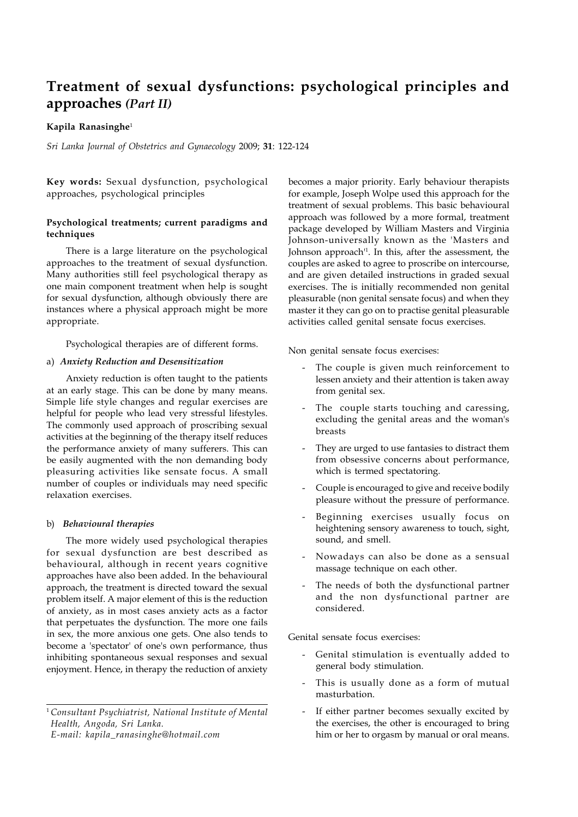# **Treatment of sexual dysfunctions: psychological principles and approaches** *(Part II)*

## **Kapila Ranasinghe**<sup>1</sup>

*Sri Lanka Journal of Obstetrics and Gynaecology* 2009; **31**: 122-124

**Key words:** Sexual dysfunction, psychological approaches, psychological principles

# **Psychological treatments; current paradigms and techniques**

There is a large literature on the psychological approaches to the treatment of sexual dysfunction. Many authorities still feel psychological therapy as one main component treatment when help is sought for sexual dysfunction, although obviously there are instances where a physical approach might be more appropriate.

Psychological therapies are of different forms.

## a) *Anxiety Reduction and Desensitization*

Anxiety reduction is often taught to the patients at an early stage. This can be done by many means. Simple life style changes and regular exercises are helpful for people who lead very stressful lifestyles. The commonly used approach of proscribing sexual activities at the beginning of the therapy itself reduces the performance anxiety of many sufferers. This can be easily augmented with the non demanding body pleasuring activities like sensate focus. A small number of couples or individuals may need specific relaxation exercises.

#### b) *Behavioural therapies*

The more widely used psychological therapies for sexual dysfunction are best described as behavioural, although in recent years cognitive approaches have also been added. In the behavioural approach, the treatment is directed toward the sexual problem itself. A major element of this is the reduction of anxiety, as in most cases anxiety acts as a factor that perpetuates the dysfunction. The more one fails in sex, the more anxious one gets. One also tends to become a 'spectator' of one's own performance, thus inhibiting spontaneous sexual responses and sexual enjoyment. Hence, in therapy the reduction of anxiety

becomes a major priority. Early behaviour therapists for example, Joseph Wolpe used this approach for the treatment of sexual problems. This basic behavioural approach was followed by a more formal, treatment package developed by William Masters and Virginia Johnson-universally known as the 'Masters and Johnson approach'1 . In this, after the assessment, the couples are asked to agree to proscribe on intercourse, and are given detailed instructions in graded sexual exercises. The is initially recommended non genital pleasurable (non genital sensate focus) and when they master it they can go on to practise genital pleasurable activities called genital sensate focus exercises.

Non genital sensate focus exercises:

- The couple is given much reinforcement to lessen anxiety and their attention is taken away from genital sex.
- The couple starts touching and caressing, excluding the genital areas and the woman's breasts
- They are urged to use fantasies to distract them from obsessive concerns about performance, which is termed spectatoring.
- Couple is encouraged to give and receive bodily pleasure without the pressure of performance.
- Beginning exercises usually focus on heightening sensory awareness to touch, sight, sound, and smell.
- Nowadays can also be done as a sensual massage technique on each other.
- The needs of both the dysfunctional partner and the non dysfunctional partner are considered.

Genital sensate focus exercises:

- Genital stimulation is eventually added to general body stimulation.
- This is usually done as a form of mutual masturbation.
- If either partner becomes sexually excited by the exercises, the other is encouraged to bring him or her to orgasm by manual or oral means.

<sup>1</sup>*Consultant Psychiatrist, National Institute of Mental Health, Angoda, Sri Lanka. E-mail: kapila\_ranasinghe@hotmail.com*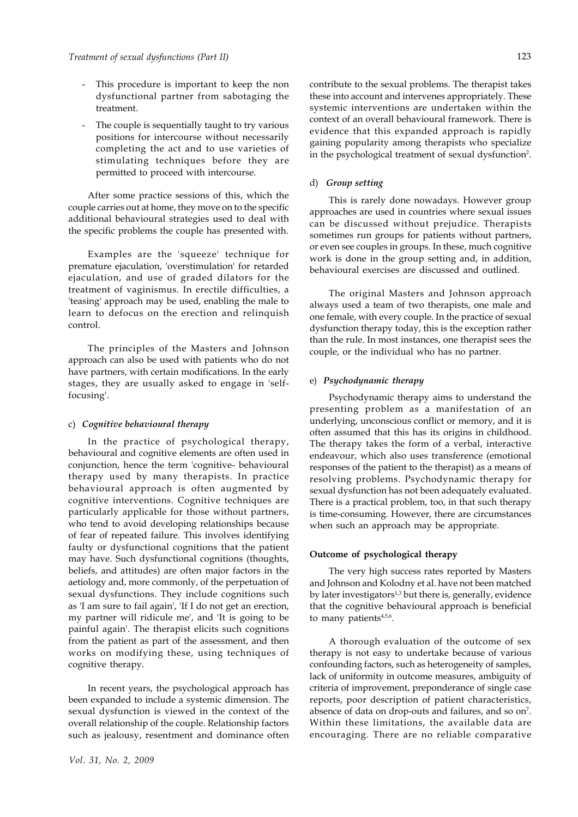- This procedure is important to keep the non dysfunctional partner from sabotaging the treatment.
- The couple is sequentially taught to try various positions for intercourse without necessarily completing the act and to use varieties of stimulating techniques before they are permitted to proceed with intercourse.

After some practice sessions of this, which the couple carries out at home, they move on to the specific additional behavioural strategies used to deal with the specific problems the couple has presented with.

Examples are the 'squeeze' technique for premature ejaculation, 'overstimulation' for retarded ejaculation, and use of graded dilators for the treatment of vaginismus. In erectile difficulties, a 'teasing' approach may be used, enabling the male to learn to defocus on the erection and relinquish control.

The principles of the Masters and Johnson approach can also be used with patients who do not have partners, with certain modifications. In the early stages, they are usually asked to engage in 'selffocusing'.

## c) *Cognitive behavioural therapy*

In the practice of psychological therapy, behavioural and cognitive elements are often used in conjunction, hence the term 'cognitive- behavioural therapy used by many therapists. In practice behavioural approach is often augmented by cognitive interventions. Cognitive techniques are particularly applicable for those without partners, who tend to avoid developing relationships because of fear of repeated failure. This involves identifying faulty or dysfunctional cognitions that the patient may have. Such dysfunctional cognitions (thoughts, beliefs, and attitudes) are often major factors in the aetiology and, more commonly, of the perpetuation of sexual dysfunctions. They include cognitions such as 'I am sure to fail again', 'If I do not get an erection, my partner will ridicule me', and 'It is going to be painful again'. The therapist elicits such cognitions from the patient as part of the assessment, and then works on modifying these, using techniques of cognitive therapy.

In recent years, the psychological approach has been expanded to include a systemic dimension. The sexual dysfunction is viewed in the context of the overall relationship of the couple. Relationship factors such as jealousy, resentment and dominance often contribute to the sexual problems. The therapist takes these into account and intervenes appropriately. These systemic interventions are undertaken within the context of an overall behavioural framework. There is evidence that this expanded approach is rapidly gaining popularity among therapists who specialize in the psychological treatment of sexual dysfunction<sup>2</sup>.

## d) *Group setting*

This is rarely done nowadays. However group approaches are used in countries where sexual issues can be discussed without prejudice. Therapists sometimes run groups for patients without partners, or even see couples in groups. In these, much cognitive work is done in the group setting and, in addition, behavioural exercises are discussed and outlined.

The original Masters and Johnson approach always used a team of two therapists, one male and one female, with every couple. In the practice of sexual dysfunction therapy today, this is the exception rather than the rule. In most instances, one therapist sees the couple, or the individual who has no partner.

## e) *Psychodynamic therapy*

Psychodynamic therapy aims to understand the presenting problem as a manifestation of an underlying, unconscious conflict or memory, and it is often assumed that this has its origins in childhood. The therapy takes the form of a verbal, interactive endeavour, which also uses transference (emotional responses of the patient to the therapist) as a means of resolving problems. Psychodynamic therapy for sexual dysfunction has not been adequately evaluated. There is a practical problem, too, in that such therapy is time-consuming. However, there are circumstances when such an approach may be appropriate.

## **Outcome of psychological therapy**

The very high success rates reported by Masters and Johnson and Kolodny et al. have not been matched by later investigators $1,3$  but there is, generally, evidence that the cognitive behavioural approach is beneficial to many patients<sup>4,5,6</sup>.

A thorough evaluation of the outcome of sex therapy is not easy to undertake because of various confounding factors, such as heterogeneity of samples, lack of uniformity in outcome measures, ambiguity of criteria of improvement, preponderance of single case reports, poor description of patient characteristics, absence of data on drop-outs and failures, and so on<sup>7</sup>. Within these limitations, the available data are encouraging. There are no reliable comparative